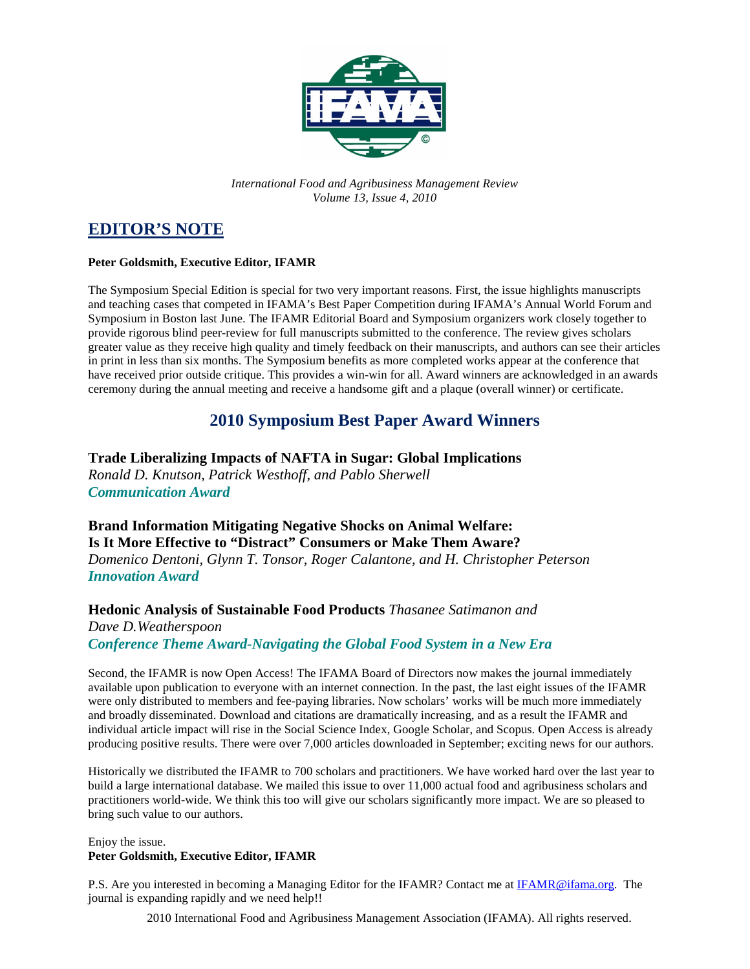

*International Food and Agribusiness Management Review Volume 13, Issue 4, 2010*

## **EDITOR'S NOTE**

#### **Peter Goldsmith, Executive Editor, IFAMR**

The Symposium Special Edition is special for two very important reasons. First, the issue highlights manuscripts and teaching cases that competed in IFAMA's Best Paper Competition during IFAMA's Annual World Forum and Symposium in Boston last June. The IFAMR Editorial Board and Symposium organizers work closely together to provide rigorous blind peer-review for full manuscripts submitted to the conference. The review gives scholars greater value as they receive high quality and timely feedback on their manuscripts, and authors can see their articles in print in less than six months. The Symposium benefits as more completed works appear at the conference that have received prior outside critique. This provides a win-win for all. Award winners are acknowledged in an awards ceremony during the annual meeting and receive a handsome gift and a plaque (overall winner) or certificate.

### **2010 Symposium Best Paper Award Winners**

### **Trade Liberalizing Impacts of NAFTA in Sugar: Global Implications**

*Ronald D. Knutson, Patrick Westhoff, and Pablo Sherwell Communication Award* 

### **Brand Information Mitigating Negative Shocks on Animal Welfare:**

**Is It More Effective to "Distract" Consumers or Make Them Aware?** 

*Domenico Dentoni, Glynn T. Tonsor, Roger Calantone, and H. Christopher Peterson Innovation Award* 

#### **Hedonic Analysis of Sustainable Food Products** *Thasanee Satimanon and*

*Dave D.Weatherspoon Conference Theme Award-Navigating the Global Food System in a New Era* 

Second, the IFAMR is now Open Access! The IFAMA Board of Directors now makes the journal immediately available upon publication to everyone with an internet connection. In the past, the last eight issues of the IFAMR were only distributed to members and fee-paying libraries. Now scholars' works will be much more immediately and broadly disseminated. Download and citations are dramatically increasing, and as a result the IFAMR and individual article impact will rise in the Social Science Index, Google Scholar, and Scopus. Open Access is already producing positive results. There were over 7,000 articles downloaded in September; exciting news for our authors.

Historically we distributed the IFAMR to 700 scholars and practitioners. We have worked hard over the last year to build a large international database. We mailed this issue to over 11,000 actual food and agribusiness scholars and practitioners world-wide. We think this too will give our scholars significantly more impact. We are so pleased to bring such value to our authors.

Enjoy the issue.

#### **Peter Goldsmith, Executive Editor, IFAMR**

P.S. Are you interested in becoming a Managing Editor for the IFAMR? Contact me at IFAMR@ifama.org. The journal is expanding rapidly and we need help!!

2010 International Food and Agribusiness Management Association (IFAMA). All rights reserved.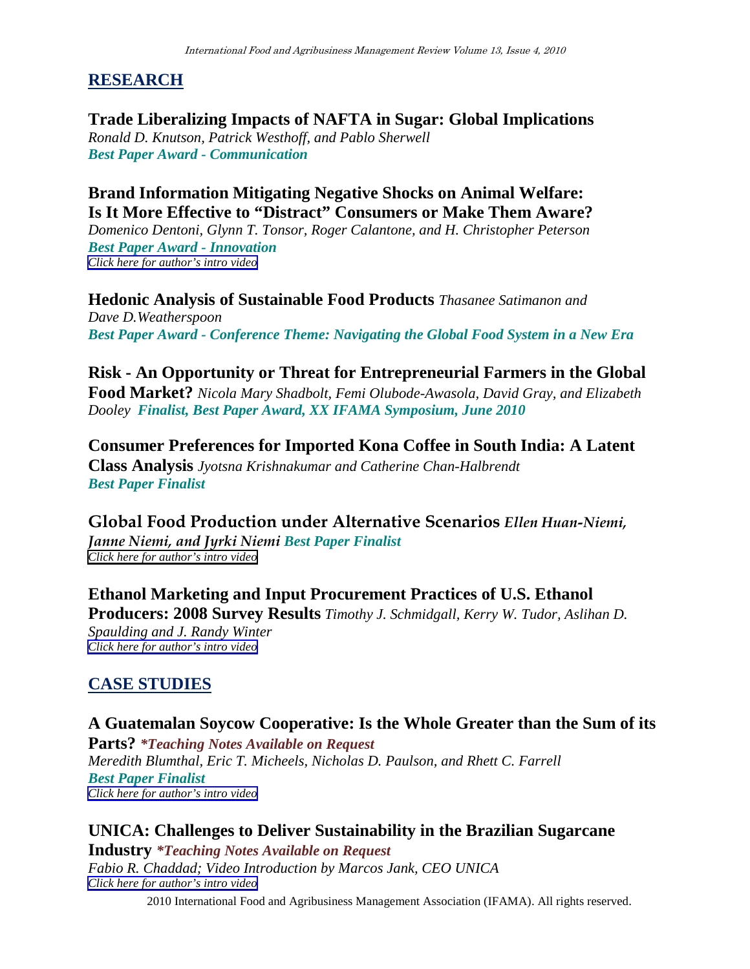## **RESEARCH**

**Trade Liberalizing Impacts of NAFTA in Sugar: Global Implications** *Ronald D. Knutson, Patrick Westhoff, and Pablo Sherwell Best Paper Award - Communication* 

### **Brand Information Mitigating Negative Shocks on Animal Welfare: Is It More Effective to "Distract" Consumers or Make Them Aware?**

*Domenico Dentoni, Glynn T. Tonsor, Roger Calantone, and H. Christopher Peterson Best Paper Award - Innovation* 

*[Click here for author's intro video](http://www.youtube.com/user/ifamr1?feature=mhum#p/u/6/R0tJXXtdACQ)*

**Hedonic Analysis of Sustainable Food Products** *Thasanee Satimanon and Dave D.Weatherspoon Best Paper Award - Conference Theme: Navigating the Global Food System in a New Era* 

**Risk - An Opportunity or Threat for Entrepreneurial Farmers in the Global Food Market?** *Nicola Mary Shadbolt, Femi Olubode-Awasola, David Gray, and Elizabeth Dooley Finalist, Best Paper Award, XX IFAMA Symposium, June 2010*

**Consumer Preferences for Imported Kona Coffee in South India: A Latent Class Analysis** *Jyotsna Krishnakumar and Catherine Chan-Halbrendt Best Paper Finalist* 

Global Food Production under Alternative Scenarios Ellen Huan-Niemi, Janne Niemi, and Jyrki Niemi *Best Paper Finalist [Click here for author's intro video](http://www.youtube.com/user/ifamr1?feature=mhum#p/u/8/1XrGBLYzIIo)*

**Ethanol Marketing and Input Procurement Practices of U.S. Ethanol Producers: 2008 Survey Results** *Timothy J. Schmidgall, Kerry W. Tudor, Aslihan D. Spaulding and J. Randy Winter [Click here for author's intro video](http://www.youtube.com/user/ifamr1?feature=mhum#p/u/7/4vUKJypavUE)*

# **CASE STUDIES**

## **A Guatemalan Soycow Cooperative: Is the Whole Greater than the Sum of its**

**Parts?** *\*Teaching Notes Available on Request Meredith Blumthal, Eric T. Micheels, Nicholas D. Paulson, and Rhett C. Farrell Best Paper Finalist [Click here for author's intro video](http://www.youtube.com/user/ifamr1?feature=mhum#p/u/10/FhUZu2lt6Ns)*

## **UNICA: Challenges to Deliver Sustainability in the Brazilian Sugarcane**

**Industry** *\*Teaching Notes Available on Request Fabio R. Chaddad; Video Introduction by Marcos Jank, CEO UNICA [Click here for author's intro video](http://www.youtube.com/user/ifamr1?feature=mhum#p/u/6/4kZDvS7v5NA)*

2010 International Food and Agribusiness Management Association (IFAMA). All rights reserved.